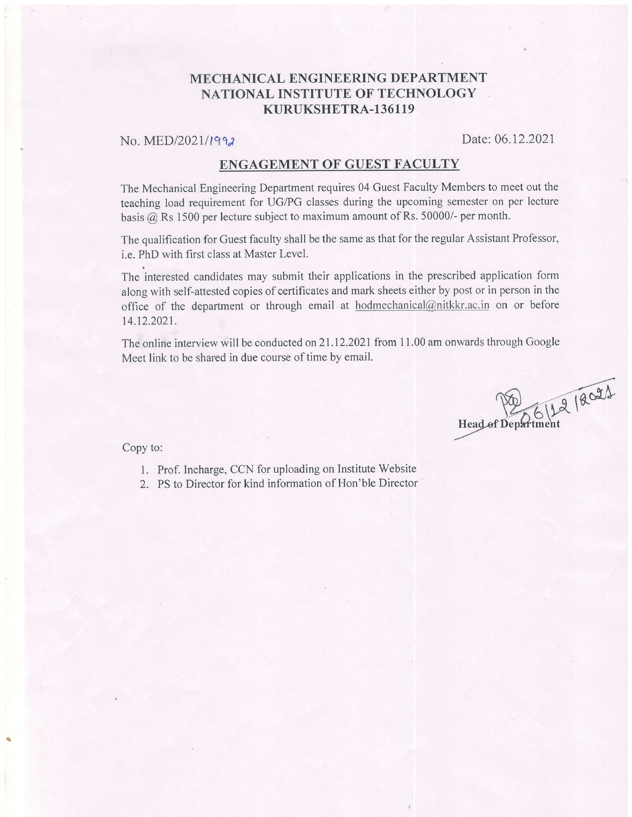### MECHANICAL ENGINEERING DEPARTMENT NATIONAL INSTITUTE OF TECHNOLOGY KURUKSHETRA-136119

## No. MED/2021/1992 Date: 06.12.2021

#### ENGAGEMENT OF GUEST FACULTY

The Mechanical Engineering Department requires 04 Guest Faculty Members to meet out the teaching load requirement for UG/PG classes during the upcoming semester on per lecture basis  $@$  Rs 1500 per lecture subject to maximum amount of Rs. 50000/- per month.

The qualification for Guest faculty shall be the same as that for the regular Assistant Professor, i.e. PhD with first class at Master Level.

The interested candidates may submit their applications in the prescribed application form along with self-attested copies of certificates and mark sheets either by post or in person in the office of the department or through email at hodmechanical@nitkkr.ac.in on or before 14.12.2021.

The online interview will be conducted on  $21.12.2021$  from  $11.00$  am onwards through Google Meet link to be shared in due course of time by email.

Head of Department

Copy to:

- l. Prof. Incharge, CCN for uploading on Institute Website
- 2. PS to Director for kind information of Hon'ble Director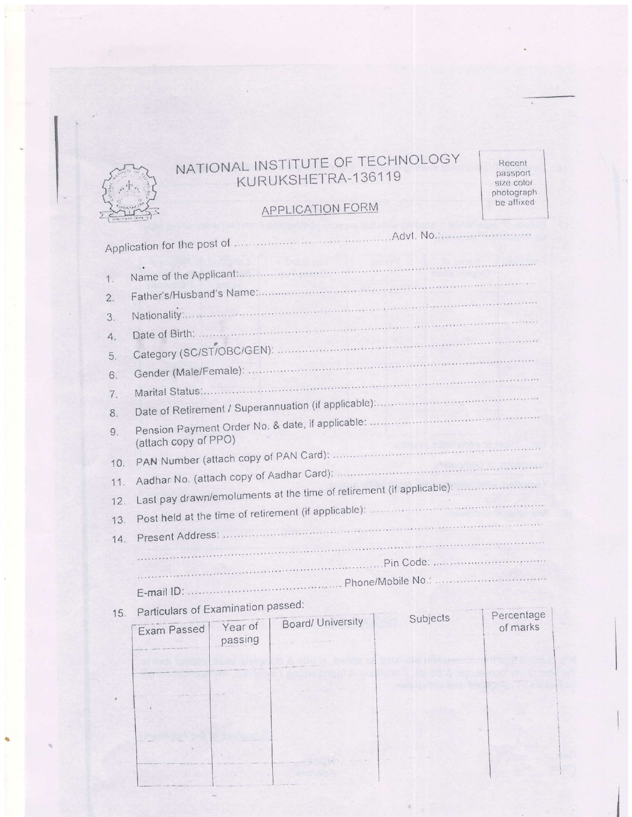

# NATIONAL INSTITUTE OF TECHNOLOGY KURUKSHETRA-136119

**APPLICATION FORM** 

Recent passport size color<br>photograph<br>be affixed

 $\bar{\tau}$ 

| 1.               |                                                                      |                    |                   |  |          |  |  |  |
|------------------|----------------------------------------------------------------------|--------------------|-------------------|--|----------|--|--|--|
| $\overline{2}$ . |                                                                      |                    |                   |  |          |  |  |  |
| 3.               |                                                                      |                    |                   |  |          |  |  |  |
| 4.               |                                                                      |                    |                   |  |          |  |  |  |
| 5.               |                                                                      |                    |                   |  |          |  |  |  |
| 6.               |                                                                      |                    |                   |  |          |  |  |  |
| 7.               |                                                                      |                    |                   |  |          |  |  |  |
| 8.               |                                                                      |                    |                   |  |          |  |  |  |
| 9.               | (attach copy of PPO)                                                 |                    |                   |  |          |  |  |  |
| 10.              |                                                                      |                    |                   |  |          |  |  |  |
| 11.              |                                                                      |                    |                   |  |          |  |  |  |
| 12.              | Last pay drawn/emoluments at the time of retirement (if applicable): |                    |                   |  |          |  |  |  |
| 13.              |                                                                      |                    |                   |  |          |  |  |  |
| 14.              |                                                                      |                    |                   |  |          |  |  |  |
|                  |                                                                      |                    |                   |  |          |  |  |  |
|                  |                                                                      |                    |                   |  |          |  |  |  |
|                  |                                                                      |                    |                   |  |          |  |  |  |
| 15.              | Particulars of Examination passed:<br>Percentage<br>Subjects         |                    |                   |  |          |  |  |  |
|                  | Exam Passed<br>the company separates to the the                      | Year of<br>passing | Board/ University |  | of marks |  |  |  |

 $\sim$ 

×

 $\overline{z}$